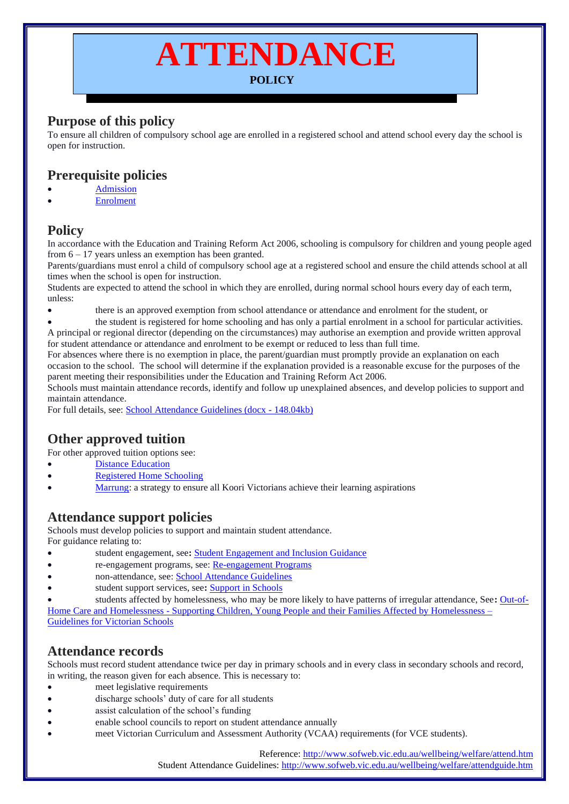# **ATTENDANCE**

#### **POLICY**

## **Purpose of this policy**

To ensure all children of compulsory school age are enrolled in a registered school and attend school every day the school is open for instruction.

## **Prerequisite policies**

- **[Admission](https://www.education.vic.gov.au/school/principals/spag/participation/Pages/admission.aspx)**
- **[Enrolment](https://www.education.vic.gov.au/school/principals/spag/participation/Pages/enrolment.aspx)**

# **Policy**

In accordance with the Education and Training Reform Act 2006, schooling is compulsory for children and young people aged from  $6 - 17$  years unless an exemption has been granted.

Parents/guardians must enrol a child of compulsory school age at a registered school and ensure the child attends school at all times when the school is open for instruction.

Students are expected to attend the school in which they are enrolled, during normal school hours every day of each term, unless:

• there is an approved exemption from school attendance or attendance and enrolment for the student, or

• the student is registered for home schooling and has only a partial enrolment in a school for particular activities. A principal or regional director (depending on the circumstances) may authorise an exemption and provide written approval for student attendance or attendance and enrolment to be exempt or reduced to less than full time.

For absences where there is no exemption in place, the parent/guardian must promptly provide an explanation on each occasion to the school. The school will determine if the explanation provided is a reasonable excuse for the purposes of the parent meeting their responsibilities under the Education and Training Reform Act 2006.

Schools must maintain attendance records, identify and follow up unexplained absences, and develop policies to support and maintain attendance.

For full details, see: [School Attendance Guidelines \(docx -](https://www.education.vic.gov.au/Documents/school/teachers/management/schoolattendanceguidelines2018.docx) 148.04kb)

## **Other approved tuition**

For other approved tuition options see:

- **[Distance Education](http://www.distance.vic.edu.au/)**
- [Registered Home Schooling](https://www.education.vic.gov.au/school/principals/spag/governance/pages/homeschool.aspx)
- [Marrung:](https://www.education.vic.gov.au/about/programs/Pages/marrung.aspx) a strategy to ensure all Koori Victorians achieve their learning aspirations

## **Attendance support policies**

Schools must develop policies to support and maintain student attendance.

For guidance relating to:

- student engagement, see**:** [Student Engagement and Inclusion Guidance](https://www.education.vic.gov.au/school/teachers/behaviour/engagement/Pages/default.aspx)
- re-engagement programs, see[: Re-engagement Programs](https://www.education.vic.gov.au/school/teachers/behaviour/engagement/Pages/reengagement.aspx)
- non-attendance, see: [School Attendance Guidelines](https://www.education.vic.gov.au/school/teachers/studentmanagement/attendance/Pages/default.aspx)
- student support services, see: **[Support in Schools](https://www.education.vic.gov.au/school/teachers/health/Pages/expired/support.aspx)**

• students affected by homelessness, who may be more likely to have patterns of irregular attendance, See**:** [Out-of-](https://www.education.vic.gov.au/school/teachers/health/Pages/homeless.aspx)Home Care and Homelessness - [Supporting Children, Young People and their Families Affected by Homelessness –](https://www.education.vic.gov.au/school/teachers/health/Pages/homeless.aspx)

[Guidelines for Victorian Schools](https://www.education.vic.gov.au/school/teachers/health/Pages/homeless.aspx)

## **Attendance records**

Schools must record student attendance twice per day in primary schools and in every class in secondary schools and record, in writing, the reason given for each absence. This is necessary to:

- meet legislative requirements
- discharge schools' duty of care for all students
- assist calculation of the school's funding
- enable school councils to report on student attendance annually
	- meet Victorian Curriculum and Assessment Authority (VCAA) requirements (for VCE students).

Reference:<http://www.sofweb.vic.edu.au/wellbeing/welfare/attend.htm> Student Attendance Guidelines:<http://www.sofweb.vic.edu.au/wellbeing/welfare/attendguide.htm>